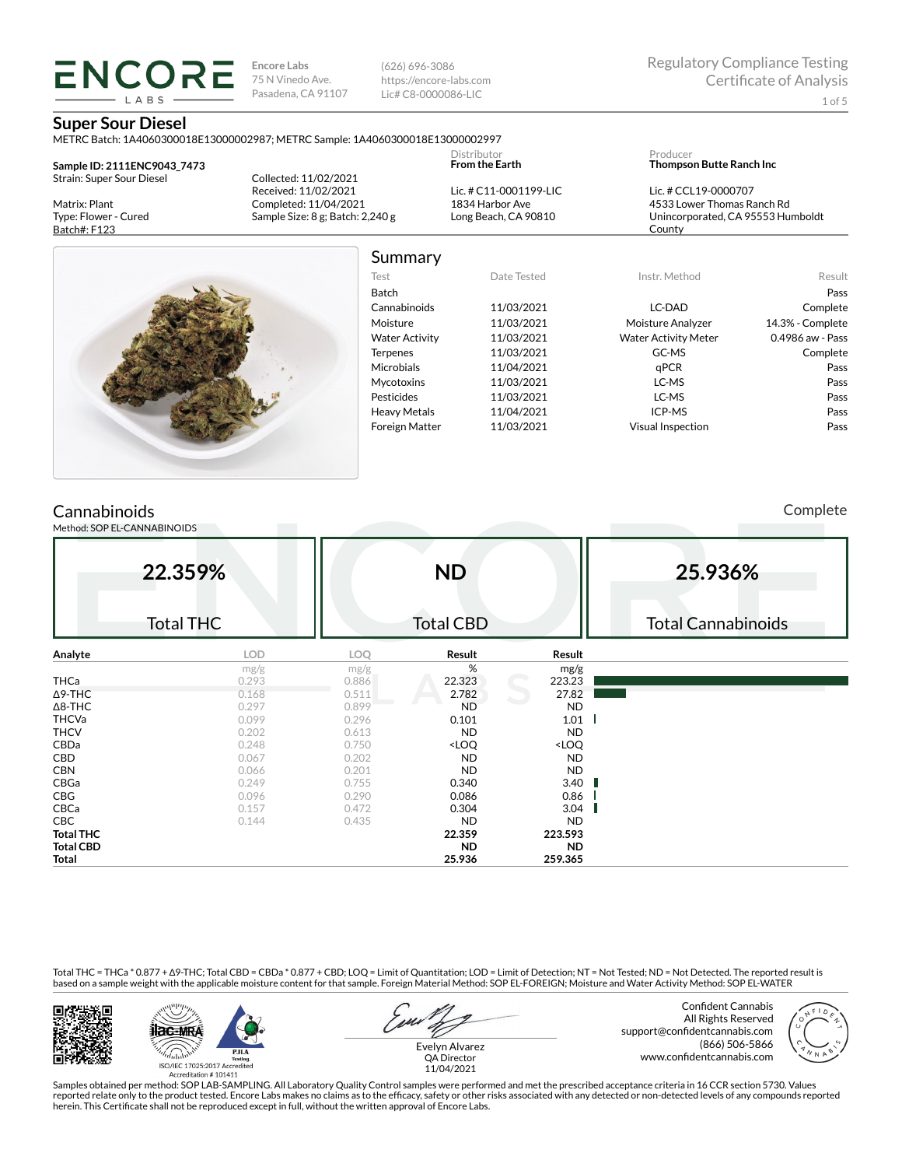(626) 696-3086 https://encore-labs.com Lic# C8-0000086-LIC

#### **Super Sour Diesel**

**ENCORE IARS** 

METRC Batch: 1A4060300018E13000002987; METRC Sample: 1A4060300018E13000002997

**Sample ID: 2111ENC9043\_7473** Strain: Super Sour Diesel

Matrix: Plant Type: Flower - Cured Batch#: F123

Collected: 11/02/2021 Received: 11/02/2021 Completed: 11/04/2021 Sample Size: 8 g; Batch: 2,240 g Lic. # C11-0001199-LIC 1834 Harbor Ave Long Beach, CA 90810

Distributor **From the Earth**

| Producer                        |  |  |
|---------------------------------|--|--|
| <b>Thompson Butte Ranch Inc</b> |  |  |

Lic. # CCL19-0000707 4533 Lower Thomas Ranch Rd Unincorporated, CA 95553 Humboldt County



## Summary

| Test                  | Date Tested | Instr. Method               | Result           |
|-----------------------|-------------|-----------------------------|------------------|
| Batch                 |             |                             | Pass             |
| Cannabinoids          | 11/03/2021  | LC-DAD                      | Complete         |
| Moisture              | 11/03/2021  | Moisture Analyzer           | 14.3% - Complete |
| <b>Water Activity</b> | 11/03/2021  | <b>Water Activity Meter</b> | 0.4986 aw - Pass |
| <b>Terpenes</b>       | 11/03/2021  | GC-MS                       | Complete         |
| <b>Microbials</b>     | 11/04/2021  | aPCR                        | Pass             |
| <b>Mycotoxins</b>     | 11/03/2021  | LC-MS                       | Pass             |
| Pesticides            | 11/03/2021  | LC-MS                       | Pass             |
| <b>Heavy Metals</b>   | 11/04/2021  | ICP-MS                      | Pass             |
| <b>Foreign Matter</b> | 11/03/2021  | <b>Visual Inspection</b>    | Pass             |
|                       |             |                             |                  |

## **Cannabinoids**

Method: SOP EL-CANNABINOIDS

Complete

|                  | 22.359%<br><b>Total THC</b> |            | <b>ND</b><br><b>Total CBD</b>                            |                              | 25.936%<br><b>Total Cannabinoids</b> |
|------------------|-----------------------------|------------|----------------------------------------------------------|------------------------------|--------------------------------------|
| Analyte          | <b>LOD</b>                  | <b>LOQ</b> | Result                                                   | Result                       |                                      |
|                  | mg/g                        | mg/g       | %                                                        | mg/g                         |                                      |
| <b>THCa</b>      | 0.293                       | 0.886      | 22.323                                                   | 223.23                       |                                      |
| $\Delta$ 9-THC   | 0.168                       | 0.511      | 2.782                                                    | 27.82                        |                                      |
| $\Delta$ 8-THC   | 0.297                       | 0.899      | <b>ND</b>                                                | <b>ND</b>                    |                                      |
| <b>THCVa</b>     | 0.099                       | 0.296      | 0.101                                                    | 1.01                         |                                      |
| <b>THCV</b>      | 0.202                       | 0.613      | <b>ND</b>                                                | <b>ND</b>                    |                                      |
| CBDa             | 0.248                       | 0.750      | <loq< td=""><td><loq< td=""><td></td></loq<></td></loq<> | <loq< td=""><td></td></loq<> |                                      |
| CBD              | 0.067                       | 0.202      | <b>ND</b>                                                | <b>ND</b>                    |                                      |
| <b>CBN</b>       | 0.066                       | 0.201      | <b>ND</b>                                                | <b>ND</b>                    |                                      |
| CBGa             | 0.249                       | 0.755      | 0.340                                                    | 3.40                         |                                      |
| CBG              | 0.096                       | 0.290      | 0.086                                                    | 0.86                         |                                      |
| CBCa             | 0.157                       | 0.472      | 0.304                                                    | 3.04                         |                                      |
| <b>CBC</b>       | 0.144                       | 0.435      | <b>ND</b>                                                | <b>ND</b>                    |                                      |
| <b>Total THC</b> |                             |            | 22.359                                                   | 223.593                      |                                      |
| <b>Total CBD</b> |                             |            | <b>ND</b>                                                | <b>ND</b>                    |                                      |
| Total            |                             |            | 25.936                                                   | 259.365                      |                                      |

Total THC = THCa \* 0.877 + ∆9-THC; Total CBD = CBDa \* 0.877 + CBD; LOQ = Limit of Quantitation; LOD = Limit of Detection; NT = Not Tested; ND = Not Detected. The reported result is based on a sample weight with the applicable moisture content for that sample. Foreign Material Method: SOP EL-FOREIGN; Moisture and Water Activity Method: SOP EL-WATER





Evelyn Alvarez

Confident Cannabis All Rights Reserved support@confidentcannabis.com (866) 506-5866 www.confidentcannabis.com



QA Director 11/04/2021

Samples obtained per method: SOP LAB-SAMPLING. All Laboratory Quality Control samples were performed and met the prescribed acceptance criteria in 16 CCR section 5730. Values reported relate only to the product tested. Encore Labs makes no claims as to the efficacy, safety or other risks associated with any detected or non-detected levels of any compounds reported<br>herein. This Certificate shall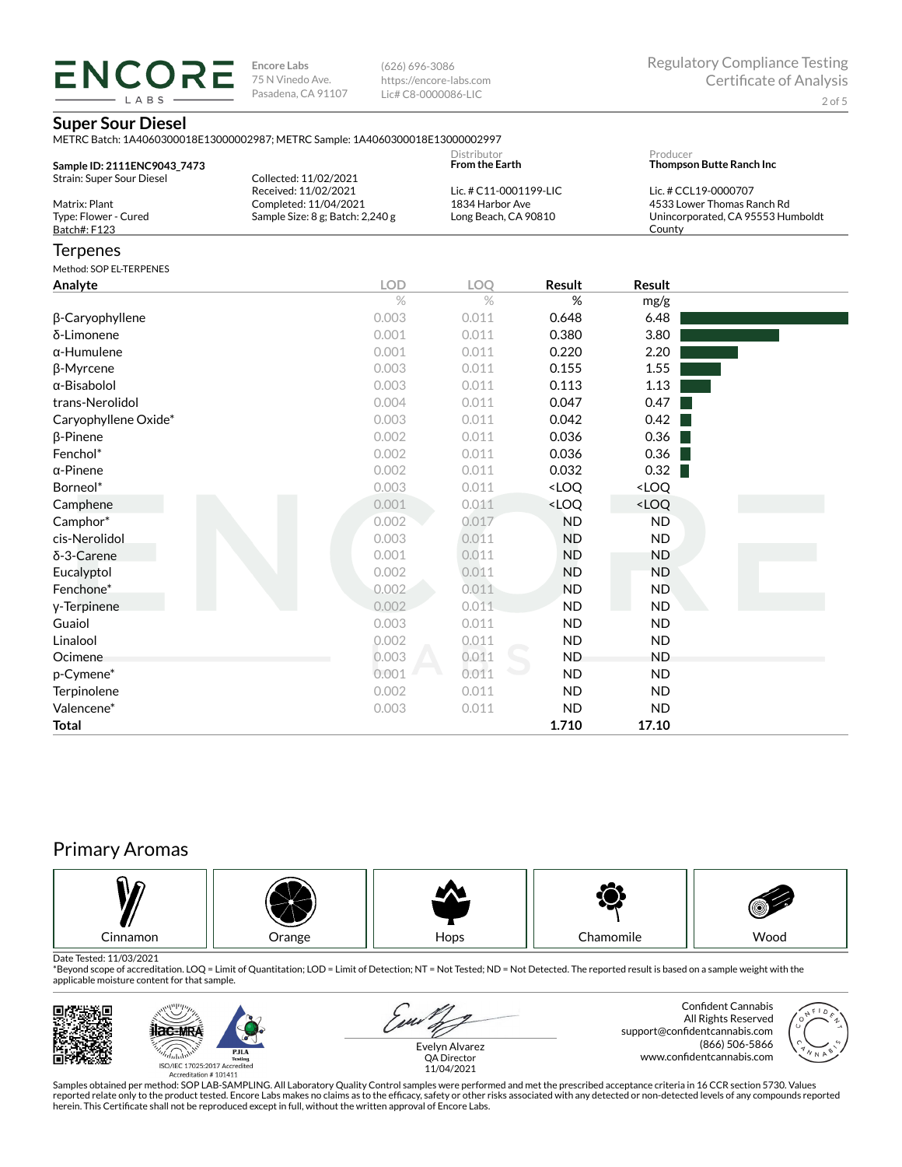(626) 696-3086 https://encore-labs.com Lic# C8-0000086-LIC

### **Super Sour Diesel**

**ENCORE** LABS

|                                                          | METRC Batch: 1A4060300018E13000002987; METRC Sample: 1A4060300018E13000002997     |                                                                   |                                                          |                                                                                                   |  |  |
|----------------------------------------------------------|-----------------------------------------------------------------------------------|-------------------------------------------------------------------|----------------------------------------------------------|---------------------------------------------------------------------------------------------------|--|--|
| Sample ID: 2111ENC9043_7473<br>Strain: Super Sour Diesel | Collected: 11/02/2021                                                             | Distributor<br><b>From the Earth</b>                              |                                                          | Producer<br>Thompson Butte Ranch Inc                                                              |  |  |
| Matrix: Plant<br>Type: Flower - Cured<br>Batch#: F123    | Received: 11/02/2021<br>Completed: 11/04/2021<br>Sample Size: 8 g; Batch: 2,240 g | Lic. # C11-0001199-LIC<br>1834 Harbor Ave<br>Long Beach, CA 90810 |                                                          | Lic. # CCL19-0000707<br>4533 Lower Thomas Ranch Rd<br>Unincorporated, CA 95553 Humboldt<br>County |  |  |
| Terpenes                                                 |                                                                                   |                                                                   |                                                          |                                                                                                   |  |  |
| Method: SOP EL-TERPENES                                  |                                                                                   |                                                                   |                                                          |                                                                                                   |  |  |
| Analyte                                                  | <b>LOD</b>                                                                        | <b>LOO</b>                                                        | Result                                                   | Result                                                                                            |  |  |
|                                                          | $\%$                                                                              | $\%$                                                              | $\%$                                                     | mg/g                                                                                              |  |  |
| β-Caryophyllene                                          | 0.003                                                                             | 0.011                                                             | 0.648                                                    | 6.48                                                                                              |  |  |
| δ-Limonene                                               | 0.001                                                                             | 0.011                                                             | 0.380                                                    | 3.80                                                                                              |  |  |
| $\alpha$ -Humulene                                       | 0.001                                                                             | 0.011                                                             | 0.220                                                    | 2.20                                                                                              |  |  |
| β-Myrcene                                                | 0.003                                                                             | 0.011                                                             | 0.155                                                    | 1.55                                                                                              |  |  |
| $\alpha$ -Bisabolol                                      | 0.003                                                                             | 0.011                                                             | 0.113                                                    | 1.13                                                                                              |  |  |
| trans-Nerolidol                                          | 0.004                                                                             | 0.011                                                             | 0.047                                                    | 0.47                                                                                              |  |  |
| Caryophyllene Oxide*                                     | 0.003                                                                             | 0.011                                                             | 0.042                                                    | 0.42                                                                                              |  |  |
| $\beta$ -Pinene                                          | 0.002                                                                             | 0.011                                                             | 0.036                                                    | 0.36                                                                                              |  |  |
| Fenchol*                                                 | 0.002                                                                             | 0.011                                                             | 0.036                                                    | 0.36                                                                                              |  |  |
| $\alpha$ -Pinene                                         | 0.002                                                                             | 0.011                                                             | 0.032                                                    | 0.32                                                                                              |  |  |
| Borneol*                                                 | 0.003                                                                             | 0.011                                                             | <loq< td=""><td><loq< td=""><td></td></loq<></td></loq<> | <loq< td=""><td></td></loq<>                                                                      |  |  |
| Camphene                                                 | 0.001                                                                             | 0.011                                                             | <loq< td=""><td><loq< td=""><td></td></loq<></td></loq<> | <loq< td=""><td></td></loq<>                                                                      |  |  |
| Camphor*                                                 | 0.002                                                                             | 0.017                                                             | <b>ND</b>                                                | <b>ND</b>                                                                                         |  |  |
| cis-Nerolidol                                            | 0.003                                                                             | 0.011                                                             | <b>ND</b>                                                | <b>ND</b>                                                                                         |  |  |
| δ-3-Carene                                               | 0.001                                                                             | 0.011                                                             | <b>ND</b>                                                | <b>ND</b>                                                                                         |  |  |
| Eucalyptol                                               | 0.002                                                                             | 0.011                                                             | <b>ND</b>                                                | <b>ND</b>                                                                                         |  |  |
| Fenchone*                                                | 0.002                                                                             | 0.011                                                             | <b>ND</b>                                                | <b>ND</b>                                                                                         |  |  |
| y-Terpinene                                              | 0.002                                                                             | 0.011                                                             | <b>ND</b>                                                | <b>ND</b>                                                                                         |  |  |
| Guaiol                                                   | 0.003                                                                             | 0.011                                                             | <b>ND</b>                                                | <b>ND</b>                                                                                         |  |  |
| Linalool                                                 | 0.002                                                                             | 0.011                                                             | <b>ND</b>                                                | <b>ND</b>                                                                                         |  |  |
| Ocimene                                                  | 0.003                                                                             | 0.011                                                             | <b>ND</b>                                                | <b>ND</b>                                                                                         |  |  |
| p-Cymene*                                                | 0.001                                                                             | 0.011                                                             | <b>ND</b>                                                | <b>ND</b>                                                                                         |  |  |
| Terpinolene                                              | 0.002                                                                             | 0.011                                                             | <b>ND</b>                                                | <b>ND</b>                                                                                         |  |  |
| Valencene*                                               | 0.003                                                                             | 0.011                                                             | <b>ND</b>                                                | <b>ND</b>                                                                                         |  |  |
| Total                                                    |                                                                                   |                                                                   | 1.710                                                    | 17.10                                                                                             |  |  |

# Primary Aromas



Date Tested: 11/03/2021<br>\*Beyond scope of accreditation. LOQ = Limit of Quantitation; LOD = Limit of Detection; NT = Not Tested; ND = Not Detected. The reported result is based on a sample weight with the applicable moisture content for that sample.





Samples obtained per method: SOP LAB-SAMPLING. All Laboratory Quality Control samples were performed and met the prescribed acceptance criteria in 16 CCR section 5730. Values reported relate only to the product tested. Encore Labs makes no claims as to the efficacy, safety or other risks associated with any detected or non-detected levels of any compounds reported<br>herein. This Certificate shall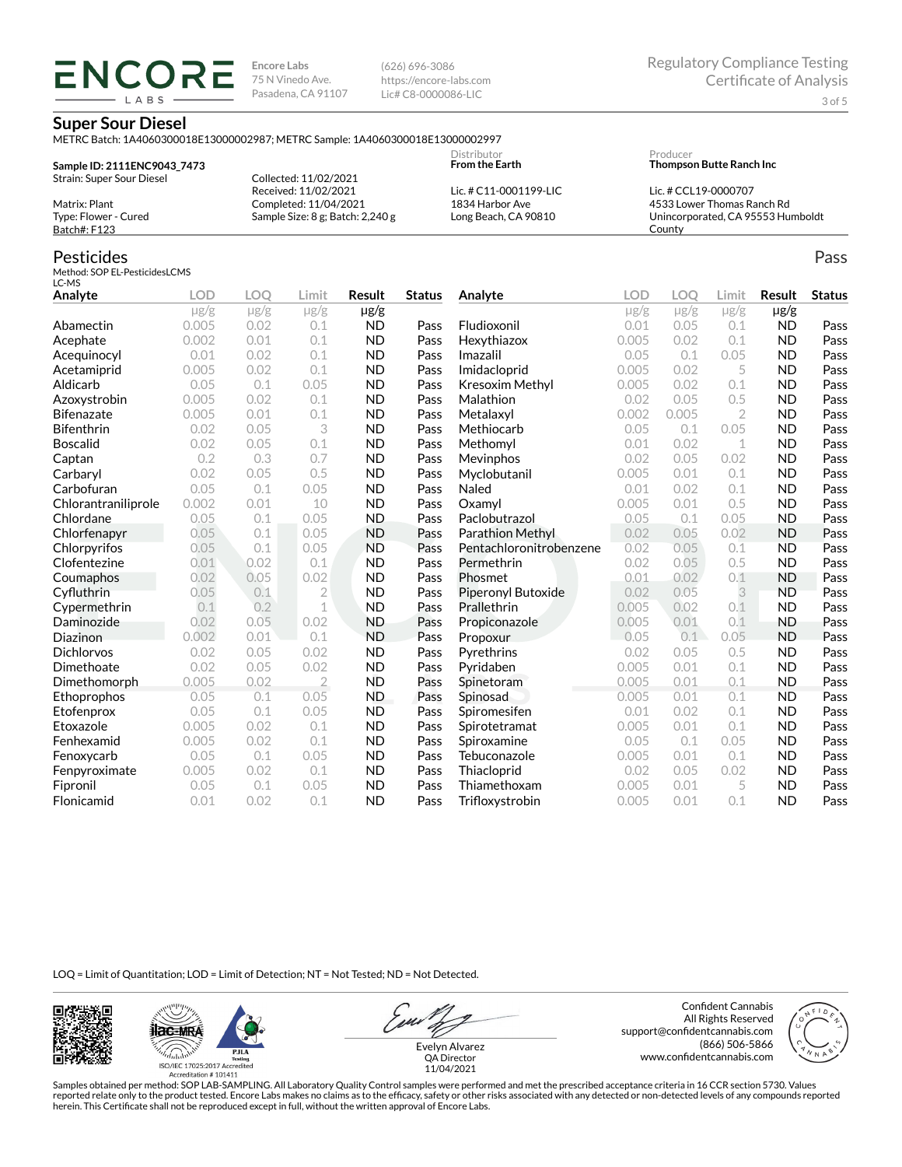(626) 696-3086 https://encore-labs.com Lic# C8-0000086-LIC

### **Super Sour Diesel**

**ENCORE** LABS

METRC Batch: 1A4060300018E13000002987; METRC Sample: 1A4060300018E13000002997

| Sample ID: 2111ENC9043 7473 |                                      | Distributor<br><b>From the Earth</b> | Producer<br><b>Thompson Butte Ranch Inc.</b> |
|-----------------------------|--------------------------------------|--------------------------------------|----------------------------------------------|
| Strain: Super Sour Diesel   | Collected: 11/02/2021                |                                      |                                              |
|                             | Received: 11/02/2021                 | Lic. # C11-0001199-LIC               | Lic. # CCL19-0000707                         |
| Matrix: Plant               | Completed: 11/04/2021                | 1834 Harbor Ave                      | 4533 Lower Thomas Ranch Rd                   |
| Type: Flower - Cured        | Sample Size: $8$ g; Batch: $2,240$ g | Long Beach, CA 90810                 | Unincorporated, CA 95553 Humboldt            |
| Batch#: F123                |                                      |                                      | County                                       |

### Pesticides

Method: SOP EL-PesticidesLCMS  $LC-MS$ 

| Analyte             | <b>LOD</b> | <b>LOO</b> | Limit          | Result    | <b>Status</b> | Analyte                 | <b>LOD</b> | LOO       | Limit          | Result    | <b>Status</b> |
|---------------------|------------|------------|----------------|-----------|---------------|-------------------------|------------|-----------|----------------|-----------|---------------|
|                     | $\mu$ g/g  | $\mu$ g/g  | $\mu$ g/g      | $\mu$ g/g |               |                         | $\mu$ g/g  | $\mu$ g/g | $\mu$ g/g      | $\mu$ g/g |               |
| Abamectin           | 0.005      | 0.02       | 0.1            | <b>ND</b> | Pass          | Fludioxonil             | 0.01       | 0.05      | 0.1            | <b>ND</b> | Pass          |
| Acephate            | 0.002      | 0.01       | 0.1            | <b>ND</b> | Pass          | Hexythiazox             | 0.005      | 0.02      | 0.1            | <b>ND</b> | Pass          |
| Acequinocyl         | 0.01       | 0.02       | 0.1            | <b>ND</b> | Pass          | Imazalil                | 0.05       | 0.1       | 0.05           | <b>ND</b> | Pass          |
| Acetamiprid         | 0.005      | 0.02       | 0.1            | <b>ND</b> | Pass          | Imidacloprid            | 0.005      | 0.02      | 5              | <b>ND</b> | Pass          |
| Aldicarb            | 0.05       | 0.1        | 0.05           | <b>ND</b> | Pass          | Kresoxim Methyl         | 0.005      | 0.02      | 0.1            | <b>ND</b> | Pass          |
| Azoxystrobin        | 0.005      | 0.02       | 0.1            | <b>ND</b> | Pass          | Malathion               | 0.02       | 0.05      | 0.5            | <b>ND</b> | Pass          |
| <b>Bifenazate</b>   | 0.005      | 0.01       | 0.1            | <b>ND</b> | Pass          | Metalaxyl               | 0.002      | 0.005     | $\overline{2}$ | <b>ND</b> | Pass          |
| <b>Bifenthrin</b>   | 0.02       | 0.05       | 3              | <b>ND</b> | Pass          | Methiocarb              | 0.05       | 0.1       | 0.05           | <b>ND</b> | Pass          |
| <b>Boscalid</b>     | 0.02       | 0.05       | 0.1            | <b>ND</b> | Pass          | Methomyl                | 0.01       | 0.02      | 1              | <b>ND</b> | Pass          |
| Captan              | 0.2        | 0.3        | 0.7            | <b>ND</b> | Pass          | Mevinphos               | 0.02       | 0.05      | 0.02           | <b>ND</b> | Pass          |
| Carbaryl            | 0.02       | 0.05       | 0.5            | <b>ND</b> | Pass          | Myclobutanil            | 0.005      | 0.01      | 0.1            | <b>ND</b> | Pass          |
| Carbofuran          | 0.05       | 0.1        | 0.05           | <b>ND</b> | Pass          | Naled                   | 0.01       | 0.02      | 0.1            | <b>ND</b> | Pass          |
| Chlorantraniliprole | 0.002      | 0.01       | 10             | <b>ND</b> | Pass          | Oxamyl                  | 0.005      | 0.01      | 0.5            | <b>ND</b> | Pass          |
| Chlordane           | 0.05       | 0.1        | 0.05           | <b>ND</b> | Pass          | Paclobutrazol           | 0.05       | 0.1       | 0.05           | <b>ND</b> | Pass          |
| Chlorfenapyr        | 0.05       | 0.1        | 0.05           | <b>ND</b> | Pass          | Parathion Methyl        | 0.02       | 0.05      | 0.02           | <b>ND</b> | Pass          |
| Chlorpyrifos        | 0.05       | 0.1        | 0.05           | <b>ND</b> | Pass          | Pentachloronitrobenzene | 0.02       | 0.05      | 0.1            | <b>ND</b> | Pass          |
| Clofentezine        | 0.01       | 0.02       | 0.1            | <b>ND</b> | Pass          | Permethrin              | 0.02       | 0.05      | 0.5            | <b>ND</b> | Pass          |
| Coumaphos           | 0.02       | 0.05       | 0.02           | <b>ND</b> | Pass          | Phosmet                 | 0.01       | 0.02      | 0.1            | <b>ND</b> | Pass          |
| Cyfluthrin          | 0.05       | 0.1        | $\overline{2}$ | <b>ND</b> | Pass          | Piperonyl Butoxide      | 0.02       | 0.05      | 3              | <b>ND</b> | Pass          |
| Cypermethrin        | 0.1        | 0.2        | $\mathbf 1$    | <b>ND</b> | Pass          | Prallethrin             | 0.005      | 0.02      | 0.1            | <b>ND</b> | Pass          |
| Daminozide          | 0.02       | 0.05       | 0.02           | <b>ND</b> | Pass          | Propiconazole           | 0.005      | 0.01      | 0.1            | <b>ND</b> | Pass          |
| Diazinon            | 0.002      | 0.01       | 0.1            | <b>ND</b> | Pass          | Propoxur                | 0.05       | 0.1       | 0.05           | <b>ND</b> | Pass          |
| <b>Dichlorvos</b>   | 0.02       | 0.05       | 0.02           | <b>ND</b> | Pass          | Pyrethrins              | 0.02       | 0.05      | 0.5            | <b>ND</b> | Pass          |
| Dimethoate          | 0.02       | 0.05       | 0.02           | <b>ND</b> | Pass          | Pyridaben               | 0.005      | 0.01      | 0.1            | <b>ND</b> | Pass          |
| Dimethomorph        | 0.005      | 0.02       | $\overline{2}$ | <b>ND</b> | Pass          | Spinetoram              | 0.005      | 0.01      | 0.1            | <b>ND</b> | Pass          |
| Ethoprophos         | 0.05       | 0.1        | 0.05           | <b>ND</b> | Pass          | Spinosad                | 0.005      | 0.01      | 0.1            | <b>ND</b> | Pass          |
| Etofenprox          | 0.05       | 0.1        | 0.05           | <b>ND</b> | Pass          | Spiromesifen            | 0.01       | 0.02      | 0.1            | <b>ND</b> | Pass          |
| Etoxazole           | 0.005      | 0.02       | 0.1            | <b>ND</b> | Pass          | Spirotetramat           | 0.005      | 0.01      | 0.1            | <b>ND</b> | Pass          |
| Fenhexamid          | 0.005      | 0.02       | 0.1            | <b>ND</b> | Pass          | Spiroxamine             | 0.05       | 0.1       | 0.05           | <b>ND</b> | Pass          |
| Fenoxycarb          | 0.05       | 0.1        | 0.05           | <b>ND</b> | Pass          | Tebuconazole            | 0.005      | 0.01      | 0.1            | <b>ND</b> | Pass          |
| Fenpyroximate       | 0.005      | 0.02       | 0.1            | <b>ND</b> | Pass          | Thiacloprid             | 0.02       | 0.05      | 0.02           | <b>ND</b> | Pass          |
| Fipronil            | 0.05       | 0.1        | 0.05           | <b>ND</b> | Pass          | Thiamethoxam            | 0.005      | 0.01      | 5              | <b>ND</b> | Pass          |
| Flonicamid          | 0.01       | 0.02       | 0.1            | <b>ND</b> | Pass          | Trifloxystrobin         | 0.005      | 0.01      | 0.1            | <b>ND</b> | Pass          |

LOQ = Limit of Quantitation; LOD = Limit of Detection; NT = Not Tested; ND = Not Detected.





Evelyn Alvarez QA Director

Confident Cannabis All Rights Reserved support@confidentcannabis.com (866) 506-5866 www.confidentcannabis.com



11/04/2021

Samples obtained per method: SOP LAB-SAMPLING. All Laboratory Quality Control samples were performed and met the prescribed acceptance criteria in 16 CCR section 5730. Values reported relate only to the product tested. Encore Labs makes no claims as to the efficacy, safety or other risks associated with any detected or non-detected levels of any compounds reported<br>herein. This Certificate shall

Pass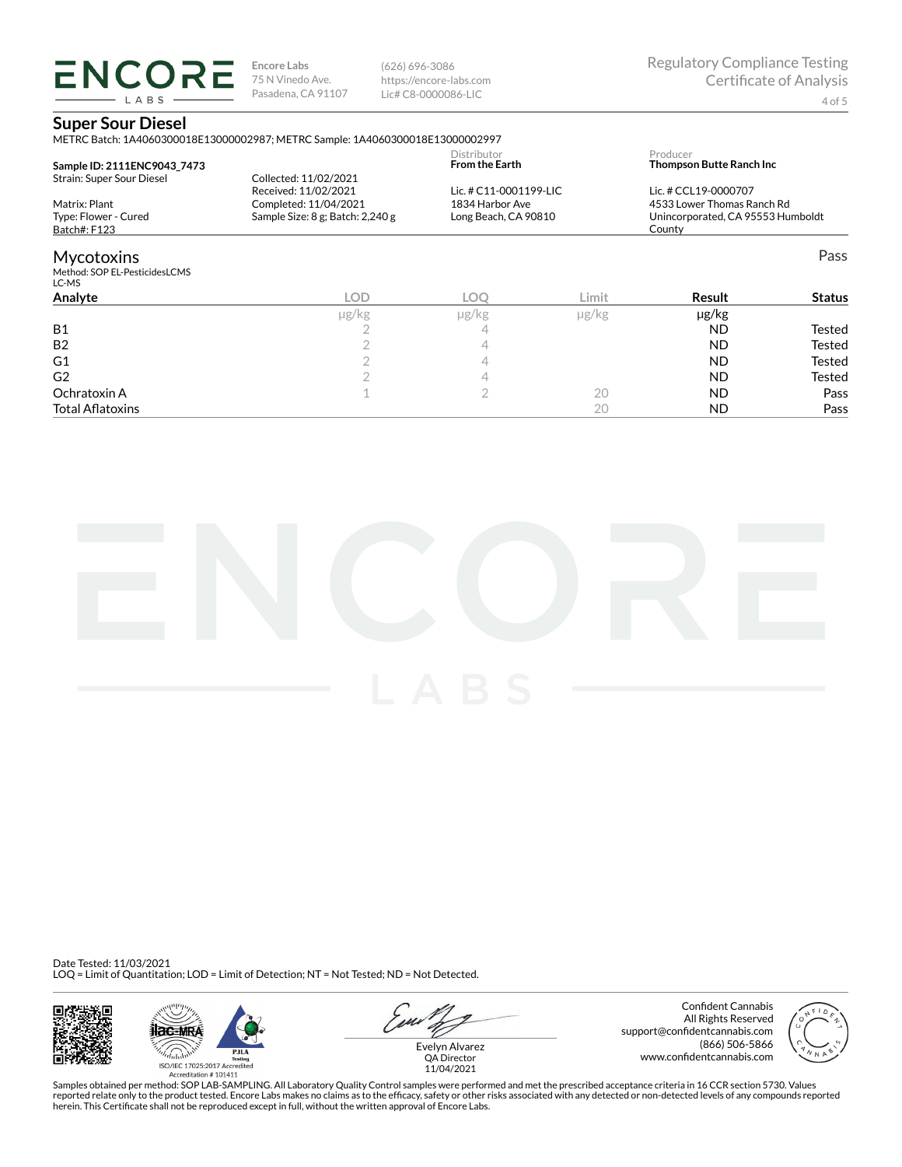(626) 696-3086 https://encore-labs.com Lic# C8-0000086-LIC

## **Super Sour Diesel**

**ENCORE** LABS

|                                                       | METRC Batch: 1A4060300018E13000002987; METRC Sample: 1A4060300018E13000002997 |                                         |            |                                                                           |               |
|-------------------------------------------------------|-------------------------------------------------------------------------------|-----------------------------------------|------------|---------------------------------------------------------------------------|---------------|
| Sample ID: 2111ENC9043 7473                           |                                                                               | Distributor<br><b>From the Earth</b>    |            | Producer<br><b>Thompson Butte Ranch Inc.</b>                              |               |
| Strain: Super Sour Diesel                             | Collected: 11/02/2021<br>Received: 11/02/2021                                 | Lic. # C11-0001199-LIC                  |            | Lic. # CCL19-0000707                                                      |               |
| Matrix: Plant<br>Type: Flower - Cured<br>Batch#: F123 | Completed: 11/04/2021<br>Sample Size: 8 g; Batch: 2,240 g                     | 1834 Harbor Ave<br>Long Beach, CA 90810 |            | 4533 Lower Thomas Ranch Rd<br>Unincorporated, CA 95553 Humboldt<br>County |               |
| <b>Mycotoxins</b>                                     |                                                                               |                                         |            |                                                                           | Pass          |
| Method: SOP EL-PesticidesLCMS<br>LC-MS                |                                                                               |                                         |            |                                                                           |               |
| Analyte                                               | LOD                                                                           | <b>LOO</b>                              | Limit      | Result                                                                    | <b>Status</b> |
|                                                       | µg/kg                                                                         | µg/kg                                   | $\mu$ g/kg | µg/kg                                                                     |               |
| <b>B1</b>                                             |                                                                               | 4                                       |            | <b>ND</b>                                                                 | Tested        |
| <b>B2</b>                                             |                                                                               | 4                                       |            | <b>ND</b>                                                                 | Tested        |
| G1                                                    |                                                                               | 4                                       |            | <b>ND</b>                                                                 | Tested        |
| G <sub>2</sub>                                        |                                                                               | 4                                       |            | <b>ND</b>                                                                 | Tested        |
| Ochratoxin A                                          |                                                                               | 2                                       | 20         | <b>ND</b>                                                                 | Pass          |
| <b>Total Aflatoxins</b>                               |                                                                               |                                         | 20         | ND                                                                        | Pass          |



Date Tested: 11/03/2021 LOQ = Limit of Quantitation; LOD = Limit of Detection; NT = Not Tested; ND = Not Detected.





u Evelyn Alvarez

Confident Cannabis All Rights Reserved support@confidentcannabis.com (866) 506-5866 www.confidentcannabis.com



QA Director 11/04/2021

Samples obtained per method: SOP LAB-SAMPLING. All Laboratory Quality Control samples were performed and met the prescribed acceptance criteria in 16 CCR section 5730. Values reported relate only to the product tested. Encore Labs makes no claims as to the efficacy, safety or other risks associated with any detected or non-detected levels of any compounds reported<br>herein. This Certificate shall